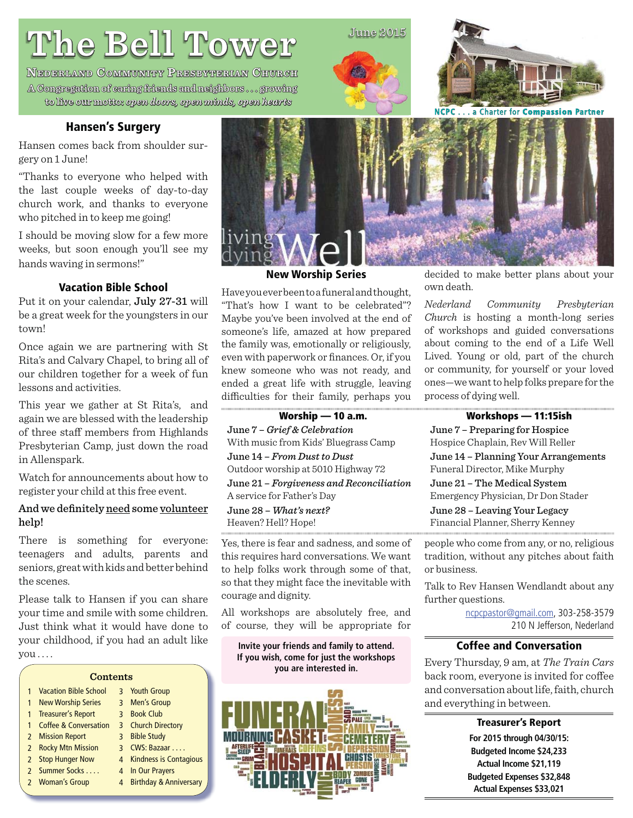# **The Bell Tower he**

**NEDERLAND COMMUNITY PRESBYTERIAN CHURCH** A Congregation of caring friends and neighbors . . . growing to live our motto: motto: *open doors, open minds, open hearts pen open hearts*

#### **Hansen's Surgery**

Hansen comes back from shoulder surgery on 1 June!

"Thanks to everyone who helped with the last couple weeks of day-to-day church work, and thanks to everyone who pitched in to keep me going!

I should be moving slow for a few more weeks, but soon enough you'll see my hands waving in sermons!"

#### **Vacation Bible School**

Put it on your calendar, July 27-31 will be a great week for the youngsters in our town!

Once again we are partnering with St Rita's and Calvary Chapel, to bring all of our children together for a week of fun lessons and activities.

This year we gather at St Rita's, and again we are blessed with the leadership of three staff members from Highlands Presbyterian Camp, just down the road in Allenspark.

Watch for announcements about how to register your child at this free event.

#### And we definitely need some volunteer help!

There is something for everyone: teenagers and adults, parents and seniors, great with kids and better behind the scenes.

Please talk to Hansen if you can share your time and smile with some children. Just think what it would have done to your childhood, if you had an adult like you . . . .

|               | <b>Contents</b>                  |                |                                   |  |
|---------------|----------------------------------|----------------|-----------------------------------|--|
|               | <b>Vacation Bible School</b>     |                | 3 Youth Group                     |  |
| 1             | <b>New Worship Series</b>        |                | 3 Men's Group                     |  |
| 1             | <b>Treasurer's Report</b>        | $\mathbf{R}$   | <b>Book Club</b>                  |  |
|               | <b>Coffee &amp; Conversation</b> |                | 3 Church Directory                |  |
|               | 2 Mission Report                 | $\overline{3}$ | <b>Bible Study</b>                |  |
|               | 2 Rocky Mtn Mission              |                | 3 CWS: Bazaar                     |  |
| $\mathcal{P}$ | <b>Stop Hunger Now</b>           | 4              | <b>Kindness is Contagious</b>     |  |
|               | 2 Summer Socks                   | 4              | In Our Prayers                    |  |
|               | 2 Woman's Group                  | 4              | <b>Birthday &amp; Anniversary</b> |  |
|               |                                  |                |                                   |  |



#### **New Worship Series**

Have you ever been to a funeral and thought, "That's how I want to be celebrated"? Maybe you've been involved at the end of someone's life, amazed at how prepared the family was, emotionally or religiously, even with paperwork or finances. Or, if you knew someone who was not ready, and ended a great life with struggle, leaving difficulties for their family, perhaps you

**Worship — 10 a.m. Workshops — 11:15ish** June 7 – *Grief & Celebration* With music from Kids' Bluegrass Camp June 14 – *From Dust to Dust* Outdoor worship at 5010 Highway 72

June 21 – *Forgiveness and Reconciliation* A service for Father's Day

#### June 28 – *What's next?* Heaven? Hell? Hope!

Yes, there is fear and sadness, and some of this requires hard conversations. We want to help folks work through some of that, so that they might face the inevitable with courage and dignity.

All workshops are absolutely free, and of course, they will be appropriate for

**Invite your friends and family to attend. If you wish, come for just the workshops you are interested in.**



decided to make better plans about your own death.

*Nederland Community Presbyterian Church* is hosting a month-long series of workshops and guided conversations about coming to the end of a Life Well Lived. Young or old, part of the church or community, for yourself or your loved ones—we want to help folks prepare for the process of dying well.

June 7 – Preparing for Hospice Hospice Chaplain, Rev Will Reller

June 14 – Planning Your Arrangements Funeral Director, Mike Murphy

June 21 – The Medical System Emergency Physician, Dr Don Stader

June 28 – Leaving Your Legacy Financial Planner, Sherry Kenney

people who come from any, or no, religious tradition, without any pitches about faith or business.

Talk to Rev Hansen Wendlandt about any further questions.

> ncpcpastor@gmail.com, 303-258-3579 210 N Jefferson, Nederland

#### **Coffee and Conversation**

Every Thursday, 9 am, at *The Train Cars* back room, everyone is invited for coffee and conversation about life, faith, church and everything in between.

> **Treasurer's Report For 2015 through 04/30/15: Budgeted Income \$24,233 Actual Income \$21,119 Budgeted Expenses \$32,848 Actual Expenses \$33,021**

## $June 2015$

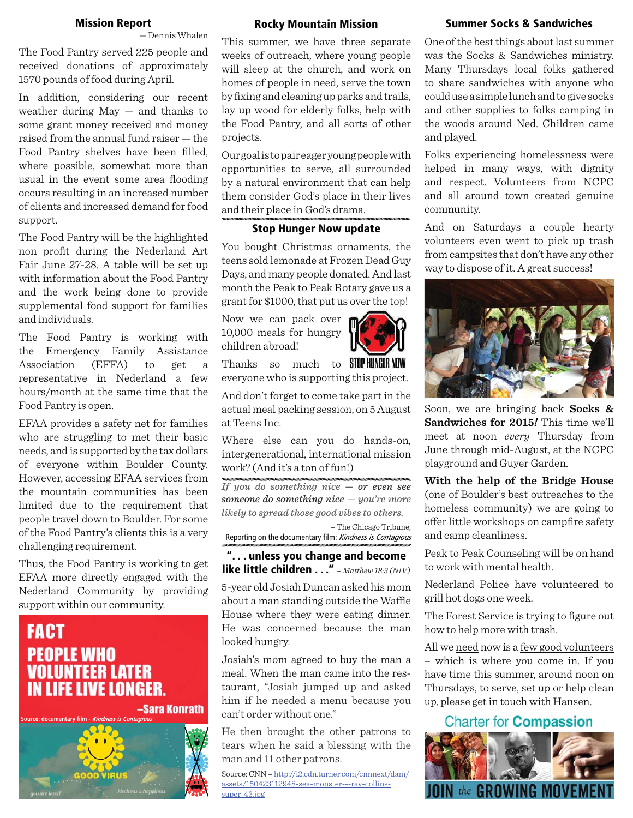#### **Mission Report**

— Dennis Whalen

The Food Pantry served 225 people and received donations of approximately 1570 pounds of food during April.

In addition, considering our recent weather during  $May - and thanks to$ some grant money received and money raised from the annual fund raiser — the Food Pantry shelves have been filled, where possible, somewhat more than usual in the event some area flooding occurs resulting in an increased number of clients and increased demand for food support.

The Food Pantry will be the highlighted non profit during the Nederland Art Fair June 27-28. A table will be set up with information about the Food Pantry and the work being done to provide supplemental food support for families and individuals.

The Food Pantry is working with the Emergency Family Assistance Association (EFFA) to get a representative in Nederland a few hours/month at the same time that the Food Pantry is open.

EFAA provides a safety net for families who are struggling to met their basic needs, and is supported by the tax dollars of everyone within Boulder County. However, accessing EFAA services from the mountain communities has been limited due to the requirement that people travel down to Boulder. For some of the Food Pantry's clients this is a very challenging requirement.

Thus, the Food Pantry is working to get EFAA more directly engaged with the Nederland Community by providing support within our community.

## **FACT PEOPLE WHO VOLUNTEER LATER IN LIFE LIVE LONGER.**

-Sara Konrath



#### **Rocky Mountain Mission**

This summer, we have three separate weeks of outreach, where young people will sleep at the church, and work on homes of people in need, serve the town by fixing and cleaning up parks and trails, lay up wood for elderly folks, help with the Food Pantry, and all sorts of other projects.

Our goal is to pair eager young people with opportunities to serve, all surrounded by a natural environment that can help them consider God's place in their lives and their place in God's drama.

#### **Stop Hunger Now update**

You bought Christmas ornaments, the teens sold lemonade at Frozen Dead Guy Days, and many people donated. And last month the Peak to Peak Rotary gave us a grant for \$1000, that put us over the top!

Now we can pack over 10,000 meals for hungry children abroad!



And don't forget to come take part in the actual meal packing session, on 5 August at Teens Inc.

Where else can you do hands-on, intergenerational, international mission work? (And it's a ton of fun!)

*If you do something nice — or even see someone do something nice — you're more likely to spread those good vibes to others.* – The Chicago Tribune,

Reporting on the documentary film: Kindness is Contagious

**". . . unless you change and become like little children . . ."** *– Matthew 18:3 (NIV)*

5-year old Josiah Duncan asked his mom about a man standing outside the Waffle House where they were eating dinner. He was concerned because the man looked hungry.

Josiah's mom agreed to buy the man a meal. When the man came into the restaurant, "Josiah jumped up and asked him if he needed a menu because you can't order without one."

He then brought the other patrons to tears when he said a blessing with the man and 11 other patrons.

Source: CNN – http://i2.cdn.turner.com/cnnnext/dam/ assets/150423112948-sea-monster---ray-collinssuper-43.jpg

#### **Summer Socks & Sandwiches**

One of the best things about last summer was the Socks & Sandwiches ministry. Many Thursdays local folks gathered to share sandwiches with anyone who could use a simple lunch and to give socks and other supplies to folks camping in the woods around Ned. Children came and played.

Folks experiencing homelessness were helped in many ways, with dignity and respect. Volunteers from NCPC and all around town created genuine community.

And on Saturdays a couple hearty volunteers even went to pick up trash from campsites that don't have any other way to dispose of it. A great success!



Soon, we are bringing back **Socks & Sandwiches for 2015***!* This time we'll meet at noon *every* Thursday from June through mid-August, at the NCPC playground and Guyer Garden.

**With the help of the Bridge House**  (one of Boulder's best outreaches to the homeless community) we are going to offer little workshops on campfire safety and camp cleanliness.

Peak to Peak Counseling will be on hand to work with mental health.

Nederland Police have volunteered to grill hot dogs one week.

The Forest Service is trying to figure out how to help more with trash.

All we need now is a few good volunteers – which is where you come in. If you have time this summer, around noon on Thursdays, to serve, set up or help clean up, please get in touch with Hansen.

#### **Charter for Compassion**



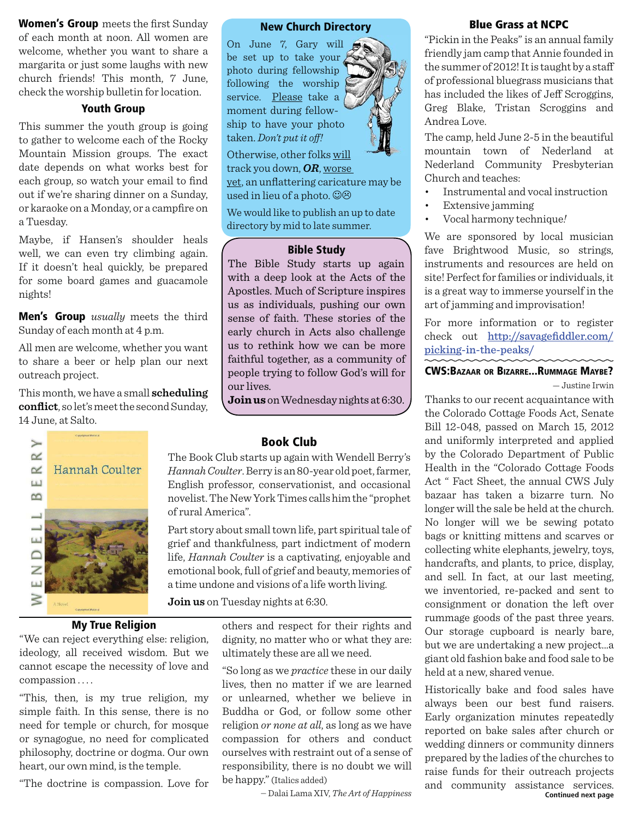**Women's Group** meets the first Sunday of each month at noon. All women are welcome, whether you want to share a margarita or just some laughs with new church friends! This month, 7 June, check the worship bulletin for location.

#### **Youth Group**

This summer the youth group is going to gather to welcome each of the Rocky Mountain Mission groups. The exact date depends on what works best for each group, so watch your email to find out if we're sharing dinner on a Sunday, or karaoke on a Monday, or a campfire on a Tuesday.

Maybe, if Hansen's shoulder heals well, we can even try climbing again. If it doesn't heal quickly, be prepared for some board games and guacamole nights!

**Men's Group** *usually* meets the third Sunday of each month at 4 p.m.

All men are welcome, whether you want to share a beer or help plan our next outreach project.

This month, we have a small **scheduling conflict**, so let's meet the second Sunday, 14 June, at Salto.



On June 7, Gary will be set up to take your  $\angle$ photo during fellowship following the worship service. Please take a moment during fellowship to have your photo taken. *Don't put it off !*  Otherwise, other folks will

track you down, *OR*, worse

yet, an unflattering caricature may be used in lieu of a photo.  $\odot \odot$ 

We would like to publish an up to date directory by mid to late summer.

#### **Bible Study**

The Bible Study starts up again with a deep look at the Acts of the Apostles. Much of Scripture inspires us as individuals, pushing our own sense of faith. These stories of the early church in Acts also challenge us to rethink how we can be more faithful together, as a community of people trying to follow God's will for our lives.

**Join us** on Wednesday nights at 6:30.



### **My True Religion**

"We can reject everything else: religion, ideology, all received wisdom. But we cannot escape the necessity of love and compassion . . . .

"This, then, is my true religion, my simple faith. In this sense, there is no need for temple or church, for mosque or synagogue, no need for complicated philosophy, doctrine or dogma. Our own heart, our own mind, is the temple.

"The doctrine is compassion. Love for

#### **Book Club**

The Book Club starts up again with Wendell Berry's *Hannah Coulter*. Berry is an 80-year old poet, farmer, English professor, conservationist, and occasional novelist. The New York Times calls him the "prophet of rural America".

Part story about small town life, part spiritual tale of grief and thankfulness, part indictment of modern life, *Hannah Coulter* is a captivating, enjoyable and emotional book, full of grief and beauty, memories of a time undone and visions of a life worth living.

**Join us** on Tuesday nights at 6:30.

others and respect for their rights and dignity, no matter who or what they are: ultimately these are all we need.

"So long as we *practice* these in our daily lives, then no matter if we are learned or unlearned, whether we believe in Buddha or God, or follow some other religion *or none at all*, as long as we have compassion for others and conduct ourselves with restraint out of a sense of responsibility, there is no doubt we will be happy." (Italics added)

#### **Blue Grass at NCPC**

"Pickin in the Peaks" is an annual family friendly jam camp that Annie founded in the summer of 2012! It is taught by a staff of professional bluegrass musicians that has included the likes of Jeff Scroggins, Greg Blake, Tristan Scroggins and Andrea Love.

The camp, held June 2-5 in the beautiful mountain town of Nederland at Nederland Community Presbyterian Church and teaches:

- Instrumental and vocal instruction
- Extensive jamming
- Vocal harmony technique*!*

We are sponsored by local musician fave Brightwood Music, so strings, instruments and resources are held on site! Perfect for families or individuals, it is a great way to immerse yourself in the art of jamming and improvisation!

For more information or to register check out http://savagefiddler.com/ picking-in-the-peaks/

#### **CWS:BAZAAR OR BIZARRE...RUMMAGE MAYBE?** — Justine Irwin

Thanks to our recent acquaintance with the Colorado Cottage Foods Act, Senate Bill 12-048, passed on March 15, 2012 and uniformly interpreted and applied by the Colorado Department of Public Health in the "Colorado Cottage Foods Act " Fact Sheet, the annual CWS July bazaar has taken a bizarre turn. No longer will the sale be held at the church. No longer will we be sewing potato bags or knitting mittens and scarves or collecting white elephants, jewelry, toys, handcrafts, and plants, to price, display, and sell. In fact, at our last meeting, we inventoried, re-packed and sent to consignment or donation the left over rummage goods of the past three years. Our storage cupboard is nearly bare, but we are undertaking a new project...a giant old fashion bake and food sale to be held at a new, shared venue.

― Dalai Lama XIV, *The Art of Happiness* **Continued next page** Historically bake and food sales have always been our best fund raisers. Early organization minutes repeatedly reported on bake sales after church or wedding dinners or community dinners prepared by the ladies of the churches to raise funds for their outreach projects and community assistance services.